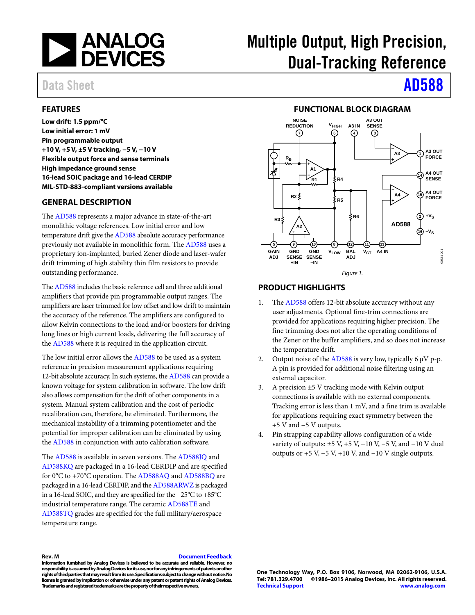

## Data Sheet **AD588**

# Multiple Output, High Precision, Dual-Tracking Reference

### <span id="page-0-0"></span>**FEATURES**

**Low drift: 1.5 ppm/°C Low initial error: 1 mV Pin programmable output +10 V, +5 V, ±5 V tracking, −5 V, −10 V Flexible output force and sense terminals High impedance ground sense 16-lead SOIC package and 16-lead CERDIP MIL-STD-883-compliant versions available**

### <span id="page-0-1"></span>**GENERAL DESCRIPTION**

The [AD588](http://www.analog.com/AD588?doc=AD588.pdf) represents a major advance in state-of-the-art monolithic voltage references. Low initial error and low temperature drift give th[e AD588](http://www.analog.com/AD588?doc=AD588.pdf) absolute accuracy performance previously not available in monolithic form. Th[e AD588](http://www.analog.com/AD588?doc=AD588.pdf) uses a proprietary ion-implanted, buried Zener diode and laser-wafer drift trimming of high stability thin film resistors to provide outstanding performance.

Th[e AD588](http://www.analog.com/AD588?doc=AD588.pdf) includes the basic reference cell and three additional amplifiers that provide pin programmable output ranges. The amplifiers are laser trimmed for low offset and low drift to maintain the accuracy of the reference. The amplifiers are configured to allow Kelvin connections to the load and/or boosters for driving long lines or high current loads, delivering the full accuracy of the [AD588](http://www.analog.com/AD588?doc=AD588.pdf) where it is required in the application circuit.

The low initial error allows the [AD588](http://www.analog.com/AD588?doc=AD588.pdf) to be used as a system reference in precision measurement applications requiring 12-bit absolute accuracy. In such systems, th[e AD588](http://www.analog.com/AD588?doc=AD588.pdf) can provide a known voltage for system calibration in software. The low drift also allows compensation for the drift of other components in a system. Manual system calibration and the cost of periodic recalibration can, therefore, be eliminated. Furthermore, the mechanical instability of a trimming potentiometer and the potential for improper calibration can be eliminated by using the [AD588](http://www.analog.com/AD588?doc=AD588.pdf) in conjunction with auto calibration software.

The [AD588](http://www.analog.com/AD588?doc=AD588.pdf) is available in seven versions. Th[e AD588JQ](http://www.analog.com/AD588?doc=AD588.pdf) and [AD588KQ](http://www.analog.com/AD588?doc=AD588.pdf) are packaged in a 16-lead CERDIP and are specified for 0°C to +70°C operation. The [AD588AQ](http://www.analog.com/AD588?doc=AD588.pdf) an[d AD588BQ](http://www.analog.com/AD588?doc=AD588.pdf) are packaged in a 16-lead CERDIP, and th[e AD588ARWZ](http://www.analog.com/AD588?doc=AD588.pdf) is packaged in a 16-lead SOIC, and they are specified for the −25°C to +85°C industrial temperature range. The ceramic [AD588TE](http://www.analog.com/AD588?doc=AD588.pdf) and [AD588TQ](http://www.analog.com/AD588?doc=AD588.pdf) grades are specified for the full military/aerospace temperature range.

#### **FUNCTIONAL BLOCK DIAGRAM**

<span id="page-0-2"></span>

#### <span id="page-0-3"></span>**PRODUCT HIGHLIGHTS**

- 1. The [AD588](http://www.analog.com/AD588?doc=AD588.pdf) offers 12-bit absolute accuracy without any user adjustments. Optional fine-trim connections are provided for applications requiring higher precision. The fine trimming does not alter the operating conditions of the Zener or the buffer amplifiers, and so does not increase the temperature drift.
- 2. Output noise of the [AD588](http://www.analog.com/AD588?doc=AD588.pdf) is very low, typically 6  $\mu$ V p-p. A pin is provided for additional noise filtering using an external capacitor.
- 3. A precision ±5 V tracking mode with Kelvin output connections is available with no external components. Tracking error is less than 1 mV, and a fine trim is available for applications requiring exact symmetry between the +5 V and −5 V outputs.
- 4. Pin strapping capability allows configuration of a wide variety of outputs:  $\pm 5$  V,  $+5$  V,  $+10$  V,  $-5$  V, and  $-10$  V dual outputs or  $+5$  V,  $-5$  V,  $+10$  V, and  $-10$  V single outputs.

#### **Rev. M [Document Feedback](https://form.analog.com/Form_Pages/feedback/documentfeedback.aspx?doc=AD588.pdf&product=AD588&rev=M)**

**Information furnished by Analog Devices is believed to be accurate and reliable. However, no responsibility is assumed by Analog Devices for its use, nor for any infringements of patents or other rights of third parties that may result from its use. Specifications subject to change without notice. No license is granted by implication or otherwise under any patent or patent rights of Analog Devices. Trademarks and registered trademarks are the property of their respective owners.**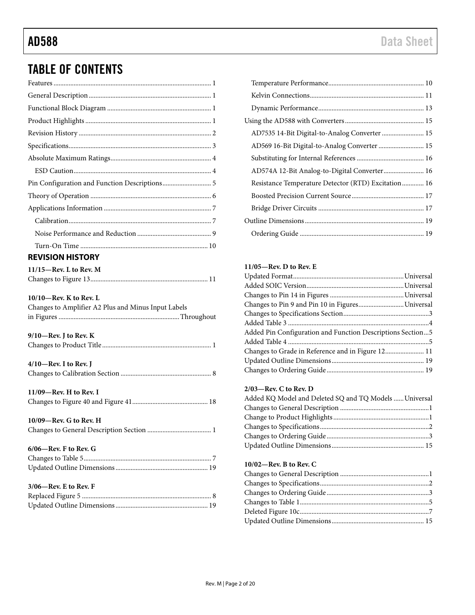## TABLE OF CONTENTS

<span id="page-1-0"></span>

| <b>REVISION HISTORY</b>                             |
|-----------------------------------------------------|
| $11/15$ -Rev. L to Rev. M                           |
| $10/10$ —Rev. K to Rev. L                           |
| Changes to Amplifier A2 Plus and Minus Input Labels |
| $9/10$ —Rev. J to Rev. K                            |
| $4/10$ —Rev. I to Rev. J                            |
| $11/09$ –Rev. H to Rev. I                           |
| 10/09-Rev. G to Rev. H                              |
| 6/06-Rev. F to Rev. G                               |

| AD7535 14-Bit Digital-to-Analog Converter  15       |  |
|-----------------------------------------------------|--|
|                                                     |  |
|                                                     |  |
| AD574A 12-Bit Analog-to-Digital Converter 16        |  |
| Resistance Temperature Detector (RTD) Excitation 16 |  |
|                                                     |  |
|                                                     |  |
|                                                     |  |
|                                                     |  |
|                                                     |  |

#### **11/05—Rev. D to Rev. E**

| Changes to Pin 9 and Pin 10 in FiguresUniversal            |  |
|------------------------------------------------------------|--|
|                                                            |  |
|                                                            |  |
| Added Pin Configuration and Function Descriptions Section5 |  |
|                                                            |  |
| Changes to Grade in Reference and in Figure 12 11          |  |
|                                                            |  |
|                                                            |  |

#### **2/03—Rev. C to Rev. D**

| Added KQ Model and Deleted SQ and TQ Models  Universal |  |
|--------------------------------------------------------|--|
|                                                        |  |
|                                                        |  |
|                                                        |  |
|                                                        |  |
|                                                        |  |

#### **10/02—Rev. B to Rev. C**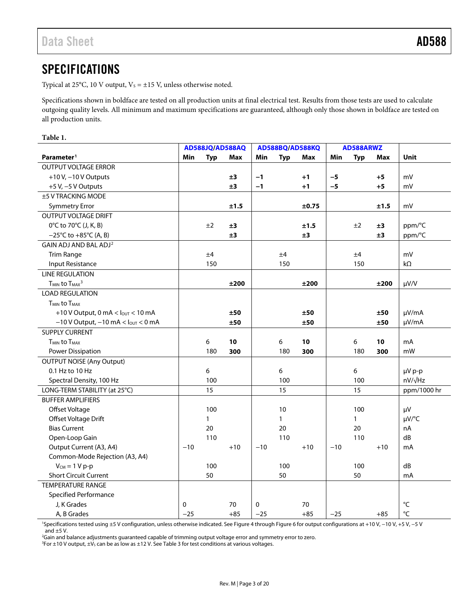## <span id="page-2-0"></span>**SPECIFICATIONS**

Typical at 25°C, 10 V output,  $V_s = \pm 15$  V, unless otherwise noted.

Specifications shown in boldface are tested on all production units at final electrical test. Results from those tests are used to calculate outgoing quality levels. All minimum and maximum specifications are guaranteed, although only those shown in boldface are tested on all production units.

#### **Table 1.**

|                                                        | AD588JQ/AD588AQ |              | AD588BQ/AD588KQ |             |              | AD588ARWZ |       |              |       |                 |
|--------------------------------------------------------|-----------------|--------------|-----------------|-------------|--------------|-----------|-------|--------------|-------|-----------------|
| Parameter <sup>1</sup>                                 | Min             | <b>Typ</b>   | Max             | Min         | <b>Typ</b>   | Max       | Min   | <b>Typ</b>   | Max   | Unit            |
| <b>OUTPUT VOLTAGE ERROR</b>                            |                 |              |                 |             |              |           |       |              |       |                 |
| +10 V, $-10$ V Outputs                                 |                 |              | ±3              | $-1$        |              | $+1$      | $-5$  |              | $+5$  | mV              |
| $+5$ V, $-5$ V Outputs                                 |                 |              | ±3              | $-1$        |              | $+1$      | $-5$  |              | $+5$  | mV              |
| ±5 V TRACKING MODE                                     |                 |              |                 |             |              |           |       |              |       |                 |
| <b>Symmetry Error</b>                                  |                 |              | ±1.5            |             |              | ±0.75     |       |              | ±1.5  | mV              |
| <b>OUTPUT VOLTAGE DRIFT</b>                            |                 |              |                 |             |              |           |       |              |       |                 |
| 0°C to 70°C (J, K, B)                                  |                 | ±2           | ±3              |             |              | ±1.5      |       | ±2           | ±3    | ppm/°C          |
| $-25^{\circ}$ C to $+85^{\circ}$ C (A, B)              |                 |              | ±3              |             |              | ±3        |       |              | ±3    | ppm/°C          |
| GAIN ADJ AND BAL ADJ <sup>2</sup>                      |                 |              |                 |             |              |           |       |              |       |                 |
| <b>Trim Range</b>                                      |                 | ±4           |                 |             | ±4           |           |       | ±4           |       | mV              |
| <b>Input Resistance</b>                                |                 | 150          |                 |             | 150          |           |       | 150          |       | $k\Omega$       |
| <b>LINE REGULATION</b>                                 |                 |              |                 |             |              |           |       |              |       |                 |
| T <sub>MIN</sub> to T <sub>MAX</sub> <sup>3</sup>      |                 |              | ±200            |             |              | ±200      |       |              | ±200  | $\mu V/V$       |
| <b>LOAD REGULATION</b>                                 |                 |              |                 |             |              |           |       |              |       |                 |
| T <sub>MIN</sub> to T <sub>MAX</sub>                   |                 |              |                 |             |              |           |       |              |       |                 |
| +10 V Output, 0 mA < $I_{OUT}$ < 10 mA                 |                 |              | ±50             |             |              | ±50       |       |              | ±50   | $\mu V/mA$      |
| $-10$ V Output, $-10$ mA $<$ $l_{\text{OUT}}$ $<$ 0 mA |                 |              | ±50             |             |              | ±50       |       |              | ±50   | µV/mA           |
| <b>SUPPLY CURRENT</b>                                  |                 |              |                 |             |              |           |       |              |       |                 |
| <b>TMIN to TMAX</b>                                    |                 | 6            | 10              |             | 6            | 10        |       | 6            | 10    | mA              |
| Power Dissipation                                      |                 | 180          | 300             |             | 180          | 300       |       | 180          | 300   | mW              |
| <b>OUTPUT NOISE (Any Output)</b>                       |                 |              |                 |             |              |           |       |              |       |                 |
| 0.1 Hz to 10 Hz                                        |                 | 6            |                 |             | $6\,$        |           |       | 6            |       | µV p-p          |
| Spectral Density, 100 Hz                               |                 | 100          |                 |             | 100          |           |       | 100          |       | $nV/\sqrt{Hz}$  |
| LONG-TERM STABILITY (at 25°C)                          |                 | 15           |                 |             | 15           |           |       | 15           |       | ppm/1000 hr     |
| <b>BUFFER AMPLIFIERS</b>                               |                 |              |                 |             |              |           |       |              |       |                 |
| Offset Voltage                                         |                 | 100          |                 |             | 10           |           |       | 100          |       | μV              |
| Offset Voltage Drift                                   |                 | $\mathbf{1}$ |                 |             | $\mathbf{1}$ |           |       | $\mathbf{1}$ |       | µV/°C           |
| <b>Bias Current</b>                                    |                 | 20           |                 |             | 20           |           |       | 20           |       | nA              |
| Open-Loop Gain                                         |                 | 110          |                 |             | 110          |           |       | 110          |       | dB              |
| Output Current (A3, A4)                                | $-10$           |              | $+10$           | $-10$       |              | $+10$     | $-10$ |              | $+10$ | mA              |
| Common-Mode Rejection (A3, A4)                         |                 |              |                 |             |              |           |       |              |       |                 |
| $V_{CM} = 1 V p-p$                                     |                 | 100          |                 |             | 100          |           |       | 100          |       | dB              |
| <b>Short Circuit Current</b>                           |                 | 50           |                 |             | 50           |           |       | 50           |       | mA              |
| <b>TEMPERATURE RANGE</b>                               |                 |              |                 |             |              |           |       |              |       |                 |
| <b>Specified Performance</b>                           |                 |              |                 |             |              |           |       |              |       |                 |
| J, K Grades                                            | 0               |              | 70              | $\mathbf 0$ |              | 70        |       |              |       | $\rm ^{\circ}C$ |
| A, B Grades                                            | $-25$           |              | $+85$           | $-25$       |              | $+85$     | $-25$ |              | $+85$ | $\rm ^{\circ}C$ |

1 Specifications tested using ±5 V configuration, unless otherwise indicated. Se[e Figure 4](#page-7-0) throug[h Figure 6](#page-7-1) for output configurations at +10 V, −10 V, +5 V, −5 V and  $\pm$ 5 V.

2 Gain and balance adjustments guaranteed capable of trimming output voltage error and symmetry error to zero.

 ${}^{3}$ For  $\pm$ 10 V output,  $\pm$ V<sub>s</sub> can be as low as  $\pm$ 12 V. Se[e Table 3](#page-3-2) for test conditions at various voltages.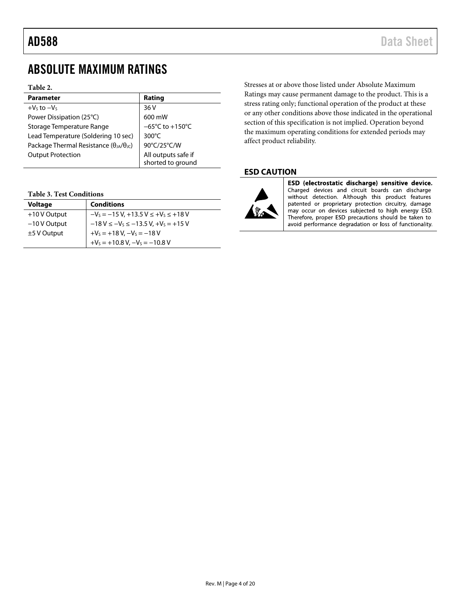## <span id="page-3-0"></span>ABSOLUTE MAXIMUM RATINGS

#### **Table 2.**

| <b>Parameter</b>                                         | Rating                                   |
|----------------------------------------------------------|------------------------------------------|
| $+Vs$ to $-Vs$                                           | 36 V                                     |
| Power Dissipation (25°C)                                 | 600 mW                                   |
| Storage Temperature Range                                | $-65^{\circ}$ C to +150 $^{\circ}$ C     |
| Lead Temperature (Soldering 10 sec)                      | 300 $\degree$ C                          |
| Package Thermal Resistance ( $\theta_{JA}/\theta_{JC}$ ) | 90°C/25°C/W                              |
| <b>Output Protection</b>                                 | All outputs safe if<br>shorted to ground |

#### <span id="page-3-2"></span>**Table 3. Test Conditions**

| <b>Voltage</b> | <b>Conditions</b>                                |
|----------------|--------------------------------------------------|
| +10 V Output   | $-V_s = -15 V$ , +13.5 $V \leq +V_s \leq +18 V$  |
| $-10V$ Output  | $-18$ V $\leq -V_s \leq -13.5$ V, $+V_s = +15$ V |
| $±5$ V Output  | $+V_s = +18 V, -V_s = -18 V$                     |
|                | $+V_s = +10.8 V, -V_s = -10.8 V$                 |

Stresses at or above those listed under Absolute Maximum Ratings may cause permanent damage to the product. This is a stress rating only; functional operation of the product at these or any other conditions above those indicated in the operational section of this specification is not implied. Operation beyond the maximum operating conditions for extended periods may affect product reliability.

#### <span id="page-3-1"></span>**ESD CAUTION**



ESD (electrostatic discharge) sensitive device. Charged devices and circuit boards can discharge without detection. Although this product features patented or proprietary protection circuitry, damage may occur on devices subjected to high energy ESD. Therefore, proper ESD precautions should be taken to avoid performance degradation or loss of functionality.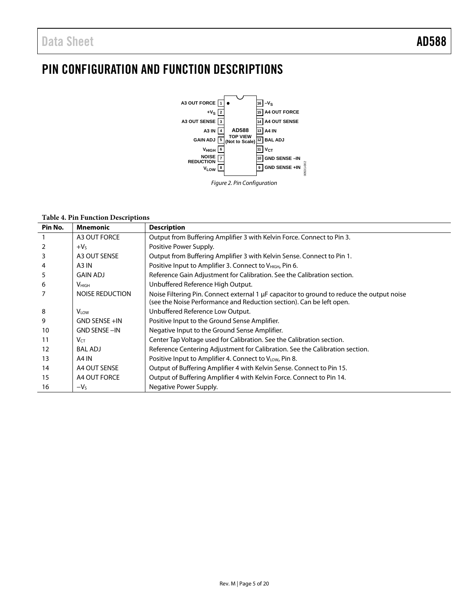## <span id="page-4-0"></span>PIN CONFIGURATION AND FUNCTION DESCRIPTIONS



#### **Table 4. Pin Function Descriptions**

| Pin No. | <b>Mnemonic</b>        | <b>Description</b>                                                                                                                                                |
|---------|------------------------|-------------------------------------------------------------------------------------------------------------------------------------------------------------------|
|         | A3 OUT FORCE           | Output from Buffering Amplifier 3 with Kelvin Force. Connect to Pin 3.                                                                                            |
| 2       | $+VS$                  | Positive Power Supply.                                                                                                                                            |
| 3       | A3 OUT SENSE           | Output from Buffering Amplifier 3 with Kelvin Sense. Connect to Pin 1.                                                                                            |
| 4       | A <sub>3</sub> IN      | Positive Input to Amplifier 3. Connect to V <sub>HIGH</sub> , Pin 6.                                                                                              |
| 5       | <b>GAIN ADJ</b>        | Reference Gain Adjustment for Calibration. See the Calibration section.                                                                                           |
| 6       | V <sub>HIGH</sub>      | Unbuffered Reference High Output.                                                                                                                                 |
| 7       | <b>NOISE REDUCTION</b> | Noise Filtering Pin. Connect external 1 µF capacitor to ground to reduce the output noise<br>(see the Noise Performance and Reduction section). Can be left open. |
| 8       | $V_{LOW}$              | Unbuffered Reference Low Output.                                                                                                                                  |
| 9       | <b>GND SENSE +IN</b>   | Positive Input to the Ground Sense Amplifier.                                                                                                                     |
| 10      | <b>GND SENSE-IN</b>    | Negative Input to the Ground Sense Amplifier.                                                                                                                     |
| 11      | $V_{CT}$               | Center Tap Voltage used for Calibration. See the Calibration section.                                                                                             |
| 12      | <b>BAL ADJ</b>         | Reference Centering Adjustment for Calibration. See the Calibration section.                                                                                      |
| 13      | A4 IN                  | Positive Input to Amplifier 4. Connect to VLOW, Pin 8.                                                                                                            |
| 14      | A4 OUT SENSE           | Output of Buffering Amplifier 4 with Kelvin Sense. Connect to Pin 15.                                                                                             |
| 15      | A4 OUT FORCE           | Output of Buffering Amplifier 4 with Kelvin Force. Connect to Pin 14.                                                                                             |
| 16      | $-VS$                  | Negative Power Supply.                                                                                                                                            |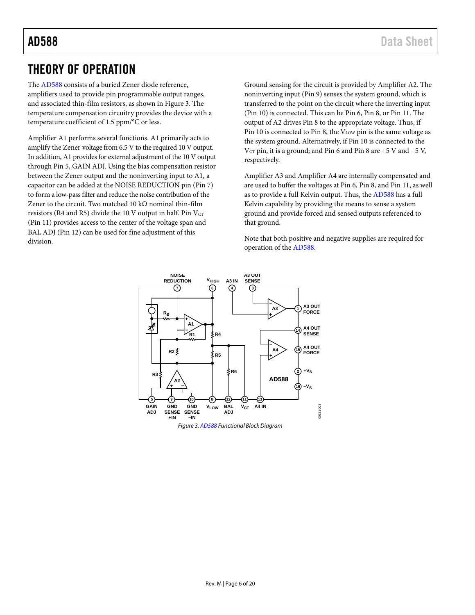## <span id="page-5-0"></span>THEORY OF OPERATION

The [AD588](http://www.analog.com/AD588?doc=AD588.pdf) consists of a buried Zener diode reference, amplifiers used to provide pin programmable output ranges, and associated thin-film resistors, as shown i[n Figure 3.](#page-5-1) The temperature compensation circuitry provides the device with a temperature coefficient of 1.5 ppm/°C or less.

Amplifier A1 performs several functions. A1 primarily acts to amplify the Zener voltage from 6.5 V to the required 10 V output. In addition, A1 provides for external adjustment of the 10 V output through Pin 5, GAIN ADJ. Using the bias compensation resistor between the Zener output and the noninverting input to A1, a capacitor can be added at the NOISE REDUCTION pin (Pin 7) to form a low-pass filter and reduce the noise contribution of the Zener to the circuit. Two matched 10 k $\Omega$  nominal thin-film resistors (R4 and R5) divide the 10 V output in half. Pin  $V_{CT}$ (Pin 11) provides access to the center of the voltage span and BAL ADJ (Pin 12) can be used for fine adjustment of this division.

Ground sensing for the circuit is provided by Amplifier A2. The noninverting input (Pin 9) senses the system ground, which is transferred to the point on the circuit where the inverting input (Pin 10) is connected. This can be Pin 6, Pin 8, or Pin 11. The output of A2 drives Pin 8 to the appropriate voltage. Thus, if Pin 10 is connected to Pin 8, the  $V_{LOW}$  pin is the same voltage as the system ground. Alternatively, if Pin 10 is connected to the  $V_{CT}$  pin, it is a ground; and Pin 6 and Pin 8 are +5 V and −5 V, respectively.

Amplifier A3 and Amplifier A4 are internally compensated and are used to buffer the voltages at Pin 6, Pin 8, and Pin 11, as well as to provide a full Kelvin output. Thus, the [AD588](http://www.analog.com/AD588?doc=AD588.pdf) has a full Kelvin capability by providing the means to sense a system ground and provide forced and sensed outputs referenced to that ground.

Note that both positive and negative supplies are required for operation of the [AD588.](http://www.analog.com/AD588?doc=AD588.pdf)

<span id="page-5-1"></span>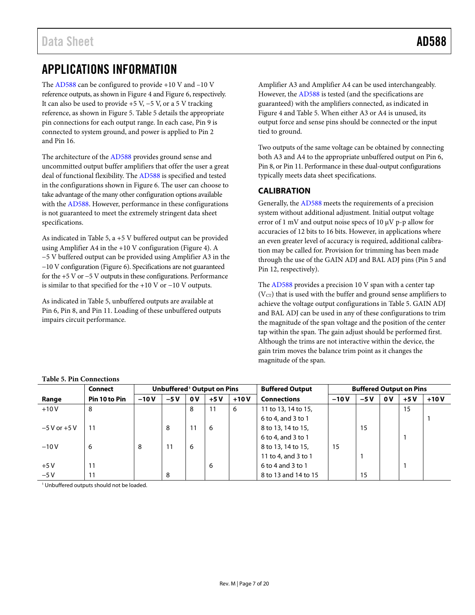## <span id="page-6-0"></span>APPLICATIONS INFORMATION

The [AD588](http://www.analog.com/AD588?doc=AD588.pdf) can be configured to provide +10 V and –10 V reference outputs, as shown i[n Figure 4](#page-7-0) an[d Figure 6,](#page-7-1) respectively. It can also be used to provide  $+5$  V,  $-5$  V, or a 5 V tracking reference, as shown in [Figure 5.](#page-7-2) [Table 5](#page-6-2) details the appropriate pin connections for each output range. In each case, Pin 9 is connected to system ground, and power is applied to Pin 2 and Pin 16.

The architecture of th[e AD588](http://www.analog.com/AD588?doc=AD588.pdf) provides ground sense and uncommitted output buffer amplifiers that offer the user a great deal of functional flexibility. Th[e AD588](http://www.analog.com/AD588?doc=AD588.pdf) is specified and tested in the configurations shown i[n Figure 6.](#page-7-1) The user can choose to take advantage of the many other configuration options available with th[e AD588.](http://www.analog.com/AD588?doc=AD588.pdf) However, performance in these configurations is not guaranteed to meet the extremely stringent data sheet specifications.

As indicated i[n Table 5,](#page-6-2) a +5 V buffered output can be provided using Amplifier A4 in the +10 V configuration [\(Figure 4\)](#page-7-0). A −5 V buffered output can be provided using Amplifier A3 in the −10 V configuration [\(Figure 6\)](#page-7-1). Specifications are not guaranteed for the +5 V or −5 V outputs in these configurations. Performance is similar to that specified for the +10 V or −10 V outputs.

As indicated i[n Table 5,](#page-6-2) unbuffered outputs are available at Pin 6, Pin 8, and Pin 11. Loading of these unbuffered outputs impairs circuit performance.

Amplifier A3 and Amplifier A4 can be used interchangeably. However, the [AD588](http://www.analog.com/AD588?doc=AD588.pdf) is tested (and the specifications are guaranteed) with the amplifiers connected, as indicated in [Figure 4](#page-7-0) an[d Table 5.](#page-6-2) When either A3 or A4 is unused, its output force and sense pins should be connected or the input tied to ground.

Two outputs of the same voltage can be obtained by connecting both A3 and A4 to the appropriate unbuffered output on Pin 6, Pin 8, or Pin 11. Performance in these dual-output configurations typically meets data sheet specifications.

### <span id="page-6-1"></span>**CALIBRATION**

Generally, the [AD588](http://www.analog.com/AD588?doc=AD588.pdf) meets the requirements of a precision system without additional adjustment. Initial output voltage error of 1 mV and output noise specs of 10 µV p-p allow for accuracies of 12 bits to 16 bits. However, in applications where an even greater level of accuracy is required, additional calibration may be called for. Provision for trimming has been made through the use of the GAIN ADJ and BAL ADJ pins (Pin 5 and Pin 12, respectively).

The [AD588](http://www.analog.com/AD588?doc=AD588.pdf) provides a precision 10 V span with a center tap  $(V<sub>CT</sub>)$  that is used with the buffer and ground sense amplifiers to achieve the voltage output configurations in [Table 5.](#page-6-2) GAIN ADJ and BAL ADJ can be used in any of these configurations to trim the magnitude of the span voltage and the position of the center tap within the span. The gain adjust should be performed first. Although the trims are not interactive within the device, the gain trim moves the balance trim point as it changes the magnitude of the span.

|                  | Table 5. I III Comitections            |        |       |                         |       |                                                          |                      |        |       |    |       |        |
|------------------|----------------------------------------|--------|-------|-------------------------|-------|----------------------------------------------------------|----------------------|--------|-------|----|-------|--------|
|                  | Unbuffered <sup>1</sup> Output on Pins |        |       |                         |       | <b>Buffered Output</b><br><b>Buffered Output on Pins</b> |                      |        |       |    |       |        |
| Range            | Pin 10 to Pin                          | $-10V$ | $-5V$ | $\mathbf{0} \mathbf{V}$ | $+5V$ | $+10V$                                                   | <b>Connections</b>   | $-10V$ | $-5V$ | 0V | $+5V$ | $+10V$ |
| $+10V$           | 8                                      |        |       | 8                       | 11    | 6                                                        | 11 to 13, 14 to 15,  |        |       |    | 15    |        |
|                  |                                        |        |       |                         |       |                                                          | 6 to 4, and 3 to 1   |        |       |    |       |        |
| $-5$ V or $+5$ V | 11                                     |        | 8     | 11                      | 6     |                                                          | 8 to 13, 14 to 15,   |        | 15    |    |       |        |
|                  |                                        |        |       |                         |       |                                                          | 6 to 4, and 3 to 1   |        |       |    |       |        |
| $-10V$           | 6                                      | 8      | 11    | 6                       |       |                                                          | 8 to 13, 14 to 15,   | 15     |       |    |       |        |
|                  |                                        |        |       |                         |       |                                                          | 11 to 4, and 3 to 1  |        |       |    |       |        |
| $+5V$            | 11                                     |        |       |                         | 6     |                                                          | 6 to 4 and 3 to 1    |        |       |    |       |        |
| $-5V$            |                                        |        | 8     |                         |       |                                                          | 8 to 13 and 14 to 15 |        | 15    |    |       |        |

#### <span id="page-6-2"></span>**Table 5. Pin Connections**

<sup>1</sup> Unbuffered outputs should not be loaded.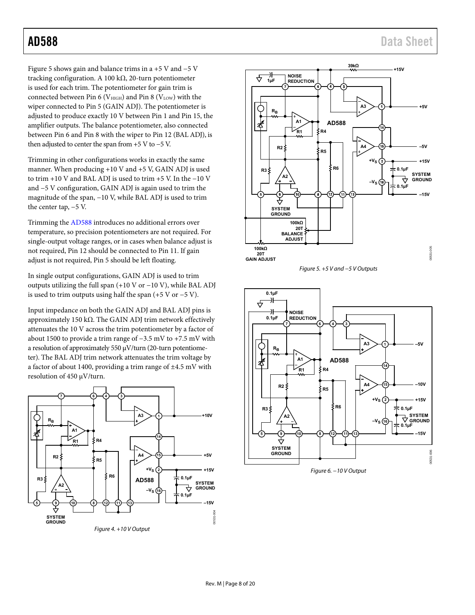[Figure 5](#page-7-2) shows gain and balance trims in a +5 V and −5 V tracking configuration. A 100 kΩ, 20-turn potentiometer is used for each trim. The potentiometer for gain trim is connected between Pin 6 ( $V<sub>HIGH</sub>$ ) and Pin 8 ( $V<sub>LOW</sub>$ ) with the wiper connected to Pin 5 (GAIN ADJ). The potentiometer is adjusted to produce exactly 10 V between Pin 1 and Pin 15, the amplifier outputs. The balance potentiometer, also connected between Pin 6 and Pin 8 with the wiper to Pin 12 (BAL ADJ), is then adjusted to center the span from +5 V to −5 V.

Trimming in other configurations works in exactly the same manner. When producing +10 V and +5 V, GAIN ADJ is used to trim +10 V and BAL ADJ is used to trim +5 V. In the −10 V and −5 V configuration, GAIN ADJ is again used to trim the magnitude of the span, −10 V, while BAL ADJ is used to trim the center tap, −5 V.

Trimming the [AD588 i](http://www.analog.com/AD588?doc=AD588.pdf)ntroduces no additional errors over temperature, so precision potentiometers are not required. For single-output voltage ranges, or in cases when balance adjust is not required, Pin 12 should be connected to Pin 11. If gain adjust is not required, Pin 5 should be left floating.

In single output configurations, GAIN ADJ is used to trim outputs utilizing the full span (+10 V or −10 V), while BAL ADJ is used to trim outputs using half the span (+5 V or −5 V).

Input impedance on both the GAIN ADJ and BAL ADJ pins is approximately 150 kΩ. The GAIN ADJ trim network effectively attenuates the 10 V across the trim potentiometer by a factor of about 1500 to provide a trim range of −3.5 mV to +7.5 mV with a resolution of approximately 550 μV/turn (20-turn potentiometer). The BAL ADJ trim network attenuates the trim voltage by a factor of about 1400, providing a trim range of ±4.5 mV with resolution of 450 μV/turn.

<span id="page-7-0"></span>





<span id="page-7-2"></span>

<span id="page-7-1"></span>Figure 6. −10 V Output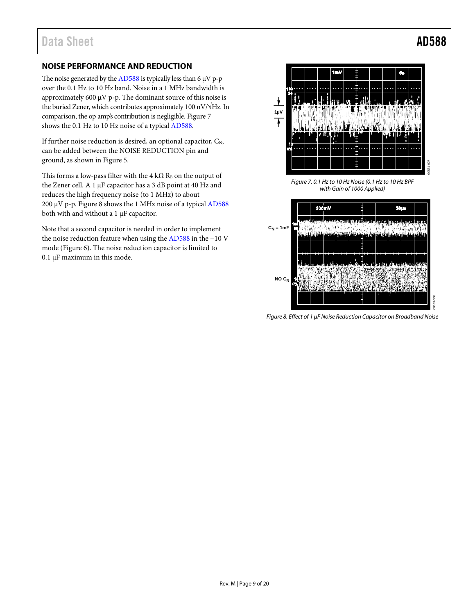### <span id="page-8-0"></span>**NOISE PERFORMANCE AND REDUCTION**

The noise generated by th[e AD588](http://www.analog.com/AD588?doc=AD588.pdf) is typically less than  $6 \mu V$  p-p over the 0.1 Hz to 10 Hz band. Noise in a 1 MHz bandwidth is approximately 600 µV p-p. The dominant source of this noise is the buried Zener, which contributes approximately 100 nV/√Hz. In comparison, the op amp's contribution is negligible. [Figure 7](#page-8-2) shows the 0.1 Hz to 10 Hz noise of a typica[l AD588.](http://www.analog.com/AD588?doc=AD588.pdf) 

If further noise reduction is desired, an optional capacitor,  $C_N$ , can be added between the NOISE REDUCTION pin and ground, as shown in [Figure 5.](#page-7-2)

This forms a low-pass filter with the 4 kΩ RB on the output of the Zener cell. A 1 µF capacitor has a 3 dB point at 40 Hz and reduces the high frequency noise (to 1 MHz) to about 200 µV p-p. [Figure 8](#page-8-3) shows the 1 MHz noise of a typical [AD588](http://www.analog.com/AD588?doc=AD588.pdf) both with and without a 1 µF capacitor.

Note that a second capacitor is needed in order to implement the noise reduction feature when using th[e AD588](http://www.analog.com/AD588?doc=AD588.pdf) in the −10 V mode [\(Figure 6\)](#page-7-1). The noise reduction capacitor is limited to 0.1 µF maximum in this mode.



<span id="page-8-2"></span>

<span id="page-8-3"></span>*Figure 8. Effect of 1 µF Noise Reduction Capacitor on Broadband Noise*

<span id="page-8-1"></span>Rev. M | Page 9 of 20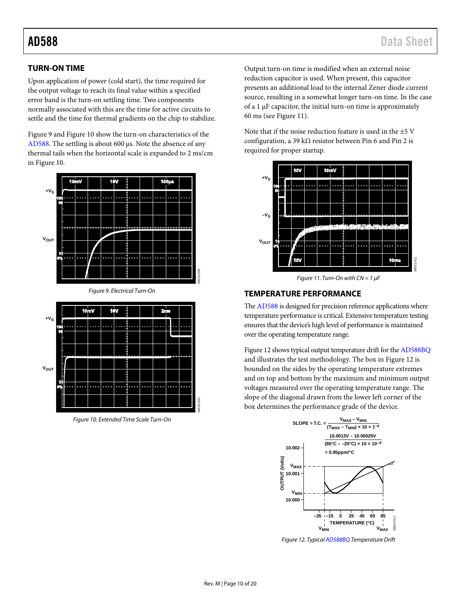### <span id="page-9-0"></span>**TURN-ON TIME**

Upon application of power (cold start), the time required for the output voltage to reach its final value within a specified error band is the turn-on settling time. Two components normally associated with this are the time for active circuits to settle and the time for thermal gradients on the chip to stabilize.

[Figure 9](#page-9-2) an[d Figure 10](#page-9-3) show the turn-on characteristics of the [AD588.](http://www.analog.com/AD588?doc=AD588.pdf) The settling is about 600 µs. Note the absence of any thermal tails when the horizontal scale is expanded to 2 ms/cm in [Figure 10.](#page-9-3) 



<span id="page-9-2"></span>

<span id="page-9-3"></span>*Figure 10. Extended Time Scale Turn-On*

Output turn-on time is modified when an external noise reduction capacitor is used. When present, this capacitor presents an additional load to the internal Zener diode current source, resulting in a somewhat longer turn-on time. In the case of a 1 µF capacitor, the initial turn-on time is approximately 60 ms (see [Figure 11\)](#page-9-4).

Note that if the noise reduction feature is used in the ±5 V configuration, a 39 k $\Omega$  resistor between Pin 6 and Pin 2 is required for proper startup.



*Figure 11. Turn-On with CN = 1 µF*

#### <span id="page-9-4"></span><span id="page-9-1"></span>**TEMPERATURE PERFORMANCE**

Th[e AD588](http://www.analog.com/AD588?doc=AD588.pdf) is designed for precision reference applications where temperature performance is critical. Extensive temperature testing ensures that the device's high level of performance is maintained over the operating temperature range.

[Figure 12](#page-9-5) shows typical output temperature drift for th[e AD588BQ](http://www.analog.com/AD588?doc=AD588.pdf) and illustrates the test methodology. The box i[n Figure 12](#page-9-5) is bounded on the sides by the operating temperature extremes and on top and bottom by the maximum and minimum output voltages measured over the operating temperature range. The slope of the diagonal drawn from the lower left corner of the box determines the performance grade of the device.



<span id="page-9-5"></span>*Figure 12. Typica[l AD588BQ](http://www.analog.com/AD588?doc=AD588.pdf) Temperature Drift*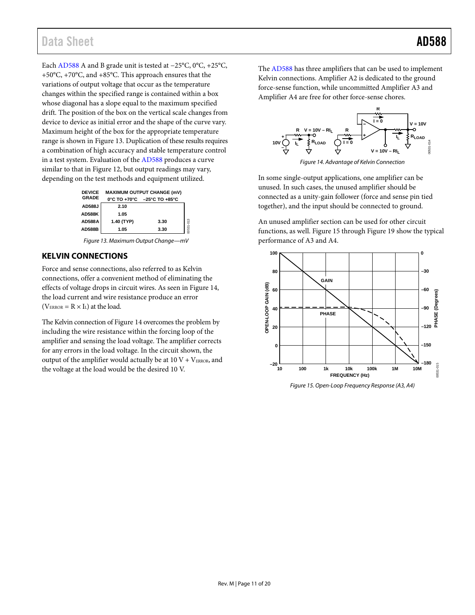Each [AD588](http://www.analog.com/AD588?doc=AD588.pdf) A and B grade unit is tested at −25°C, 0°C, +25°C, +50°C, +70°C, and +85°C. This approach ensures that the variations of output voltage that occur as the temperature changes within the specified range is contained within a box whose diagonal has a slope equal to the maximum specified drift. The position of the box on the vertical scale changes from device to device as initial error and the shape of the curve vary. Maximum height of the box for the appropriate temperature range is shown i[n Figure 13.](#page-10-1) Duplication of these results requires a combination of high accuracy and stable temperature control in a test system. Evaluation of th[e AD588](http://www.analog.com/AD588?doc=AD588.pdf) produces a curve similar to that i[n Figure 12,](#page-9-5) but output readings may vary, depending on the test methods and equipment utilized.

| <b>DEVICE</b><br>GRADE | <b>MAXIMUM OUTPUT CHANGE (mV)</b><br>0°C TO +70°C -25°C TO +85°C |      |          |  |  |  |  |  |  |
|------------------------|------------------------------------------------------------------|------|----------|--|--|--|--|--|--|
| AD588J                 | 2.10                                                             |      |          |  |  |  |  |  |  |
| <b>AD588K</b>          | 1.05                                                             |      |          |  |  |  |  |  |  |
| AD588A                 | 1.40 (TYP)                                                       | 3.30 |          |  |  |  |  |  |  |
| <b>AD588B</b>          | 1.05                                                             | 3.30 | 0531-013 |  |  |  |  |  |  |
|                        |                                                                  |      |          |  |  |  |  |  |  |

#### *Figure 13. Maximum Output Change—mV*

#### <span id="page-10-1"></span><span id="page-10-0"></span>**KELVIN CONNECTIONS**

Force and sense connections, also referred to as Kelvin connections, offer a convenient method of eliminating the effects of voltage drops in circuit wires. As seen i[n Figure 14,](#page-10-2)  the load current and wire resistance produce an error  $(V_{ERROR} = R \times I_L)$  at the load.

The Kelvin connection o[f Figure 14](#page-10-2) overcomes the problem by including the wire resistance within the forcing loop of the amplifier and sensing the load voltage. The amplifier corrects for any errors in the load voltage. In the circuit shown, the output of the amplifier would actually be at  $10 \text{ V} + \text{V}_{EROR}$ , and the voltage at the load would be the desired 10 V.

The [AD588](http://www.analog.com/AD588?doc=AD588.pdf) has three amplifiers that can be used to implement Kelvin connections. Amplifier A2 is dedicated to the ground force-sense function, while uncommitted Amplifier A3 and Amplifier A4 are free for other force-sense chores.



<span id="page-10-2"></span>In some single-output applications, one amplifier can be unused. In such cases, the unused amplifier should be connected as a unity-gain follower (force and sense pin tied together), and the input should be connected to ground.

An unused amplifier section can be used for other circuit functions, as well[. Figure 15](#page-10-3) throug[h Figure 19](#page-11-0) show the typical performance of A3 and A4.



<span id="page-10-3"></span>*Figure 15. Open-Loop Frequency Response (A3, A4)*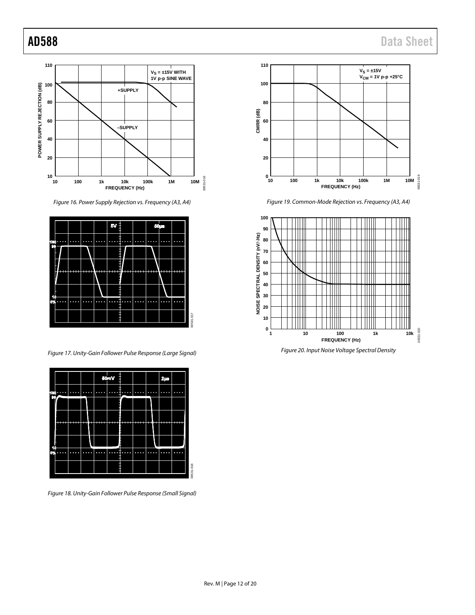

*Figure 16. Power Supply Rejection vs. Frequency (A3, A4)*



*Figure 17. Unity-Gain Follower Pulse Response (Large Signal)*



*Figure 18. Unity-Gain Follower Pulse Response (Small Signal)*



*Figure 19. Common-Mode Rejection vs. Frequency (A3, A4)*

<span id="page-11-0"></span>

*Figure 20. Input Noise Voltage Spectral Density*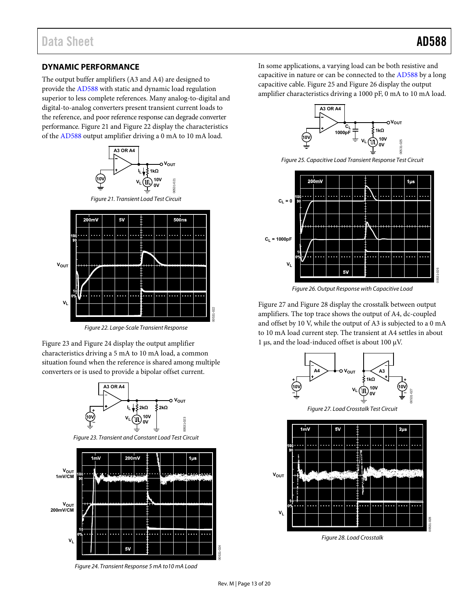#### <span id="page-12-0"></span>**DYNAMIC PERFORMANCE**

The output buffer amplifiers (A3 and A4) are designed to provide th[e AD588 w](http://www.analog.com/AD588?doc=AD588.pdf)ith static and dynamic load regulation superior to less complete references. Many analog-to-digital and digital-to-analog converters present transient current loads to the reference, and poor reference response can degrade converter performance[. Figure 21 a](#page-12-1)nd [Figure 22 d](#page-12-2)isplay the characteristics of the [AD588](http://www.analog.com/AD588?doc=AD588.pdf) output amplifier driving a 0 mA to 10 mA load.



Figure 21. Transient Load Test Circuit

<span id="page-12-1"></span>

Figure 22. Large-Scale Transient Response

<span id="page-12-2"></span>[Figure 23 a](#page-12-3)nd [Figure 24 d](#page-12-4)isplay the output amplifier characteristics driving a 5 mA to 10 mA load, a common situation found when the reference is shared among multiple converters or is used to provide a bipolar offset current.



Figure 23. Transient and Constant Load Test Circuit

<span id="page-12-3"></span>

<span id="page-12-4"></span>Figure 24. Transient Response 5 mA to10 mA Load

In some applications, a varying load can be both resistive and capacitive in nature or can be connected to th[e AD588 b](http://www.analog.com/AD588?doc=AD588.pdf)y a long capacitive cable. [Figure 25 a](#page-12-5)n[d Figure 26](#page-12-6) display the output amplifier characteristics driving a 1000 pF, 0 mA to 10 mA load.



Figure 25. Capacitive Load Transient Response Test Circuit

<span id="page-12-5"></span>

Figure 26. Output Response with Capacitive Load

<span id="page-12-6"></span>[Figure 27 a](#page-12-7)n[d Figure 28 d](#page-12-8)isplay the crosstalk between output amplifiers. The top trace shows the output of A4, dc-coupled and offset by 10 V, while the output of A3 is subjected to a 0 mA to 10 mA load current step. The transient at A4 settles in about 1 μs, and the load-induced offset is about 100 μV.



<span id="page-12-8"></span><span id="page-12-7"></span>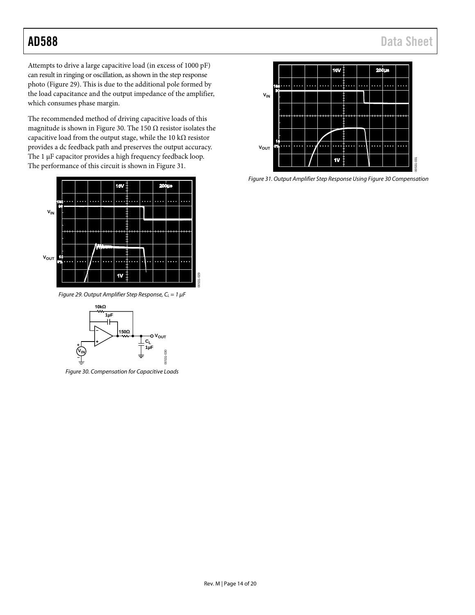## AD588 Data Sheet

Attempts to drive a large capacitive load (in excess of 1000 pF) can result in ringing or oscillation, as shown in the step response photo [\(Figure 29\)](#page-13-0). This is due to the additional pole formed by the load capacitance and the output impedance of the amplifier, which consumes phase margin.

The recommended method of driving capacitive loads of this magnitude is shown in [Figure 30.](#page-13-1) The 150  $\Omega$  resistor isolates the capacitive load from the output stage, while the 10 kΩ resistor provides a dc feedback path and preserves the output accuracy. The 1  $\mu$ F capacitor provides a high frequency feedback loop. The performance of this circuit is shown i[n Figure 31.](#page-13-2)



<span id="page-13-0"></span>*Figure 29. Output Amplifier Step Response, C<sub>L</sub>* = 1  $\mu$ *F* 



<span id="page-13-1"></span>*Figure 30. Compensation for Capacitive Loads*



<span id="page-13-2"></span>*Figure 31. Output Amplifier Step Response Usin[g Figure 30](#page-13-1) Compensation*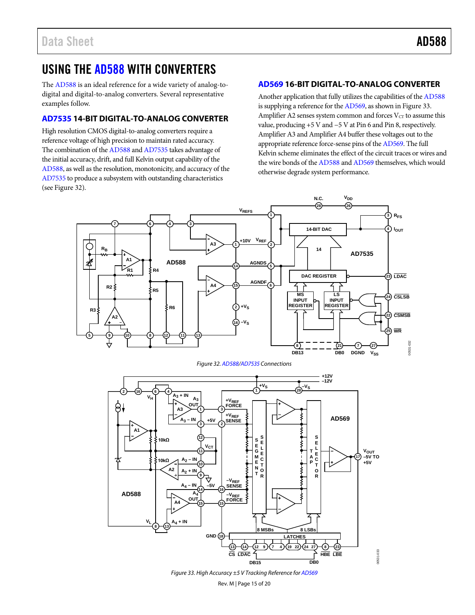## <span id="page-14-0"></span>USING THE [AD588](http://www.analog.com/AD588?doc=AD588.pdf) WITH CONVERTERS

The [AD588](http://www.analog.com/AD588?doc=AD588.pdf) is an ideal reference for a wide variety of analog-todigital and digital-to-analog converters. Several representative examples follow.

### <span id="page-14-1"></span>**[AD7535](http://www.analog.com/AD7535?doc=AD588.pdf) 14-BIT DIGITAL-TO-ANALOG CONVERTER**

High resolution CMOS digital-to-analog converters require a reference voltage of high precision to maintain rated accuracy. The combination of th[e AD588](http://www.analog.com/AD588?doc=AD588.pdf) an[d AD7535](http://www.analog.com/AD7535?doc=AD588.pdf) takes advantage of the initial accuracy, drift, and full Kelvin output capability of the [AD588,](http://www.analog.com/AD588?doc=AD588.pdf) as well as the resolution, monotonicity, and accuracy of the [AD7535](http://www.analog.com/AD7535?doc=AD588.pdf) to produce a subsystem with outstanding characteristics (se[e Figure 32\)](#page-14-3).

### <span id="page-14-2"></span>**[AD569](http://www.analog.com/AD569?doc=AD588.pdf) 16-BIT DIGITAL-TO-ANALOG CONVERTER**

Another application that fully utilizes the capabilities of th[e AD588](http://www.analog.com/AD588?doc=AD588.pdf) is supplying a reference for th[e AD569,](http://www.analog.com/AD569?doc=ad588.pdf) as shown i[n Figure 33.](#page-14-4)  Amplifier A2 senses system common and forces  $V<sub>CT</sub>$  to assume this value, producing +5 V and −5 V at Pin 6 and Pin 8, respectively. Amplifier A3 and Amplifier A4 buffer these voltages out to the appropriate reference force-sense pins of th[e AD569.](http://www.analog.com/AD569?doc=AD588.pdf) The full Kelvin scheme eliminates the effect of the circuit traces or wires and the wire bonds of th[e AD588](http://www.analog.com/AD588?doc=AD588.pdf) an[d AD569](http://www.analog.com/AD569?doc=AD588.pdf) themselves, which would otherwise degrade system performance.



*Figure 32[. AD588](http://www.analog.com/AD588?doc=AD588.pdf)[/AD7535](http://www.analog.com/AD7535?doc=AD588.pdf) Connections*

<span id="page-14-3"></span>

<span id="page-14-4"></span>*Figure 33. High Accuracy ±5 V Tracking Reference fo[r AD569](http://www.analog.com/AD569?doc=AD588.pdf)*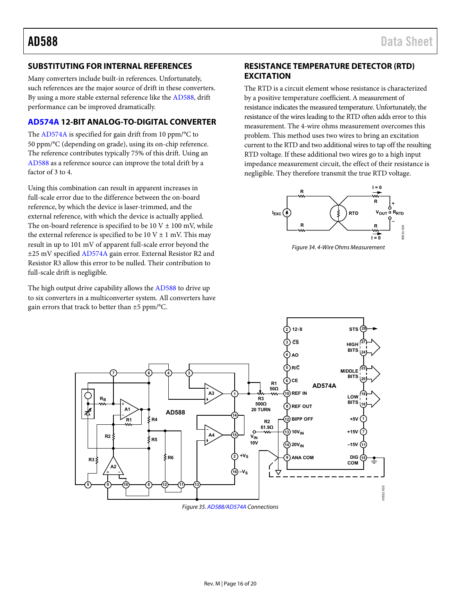### <span id="page-15-0"></span>**SUBSTITUTING FOR INTERNAL REFERENCES**

Many converters include built-in references. Unfortunately, such references are the major source of drift in these converters. By using a more stable external reference like the [AD588,](http://www.analog.com/AD588?doc=AD588.pdf) drift performance can be improved dramatically.

### <span id="page-15-1"></span>**[AD574A 1](http://www.analog.com/AD574A?doc=AD588.pdf)2-BIT ANALOG-TO-DIGITAL CONVERTER**

The [AD574A i](http://www.analog.com/AD574A?doc=AD588.pdf)s specified for gain drift from 10 ppm/°C to 50 ppm/°C (depending on grade), using its on-chip reference. The reference contributes typically 75% of this drift. Using an [AD588](http://www.analog.com/AD588?doc=AD588.pdf) as a reference source can improve the total drift by a factor of 3 to 4.

Using this combination can result in apparent increases in full-scale error due to the difference between the on-board reference, by which the device is laser-trimmed, and the external reference, with which the device is actually applied. The on-board reference is specified to be  $10 \text{ V} \pm 100 \text{ mV}$ , while the external reference is specified to be  $10 \text{ V} \pm 1 \text{ mV}$ . This may result in up to 101 mV of apparent full-scale error beyond the ±25 mV specifie[d AD574A](http://www.analog.com/AD574A?doc=AD588.pdf) gain error. External Resistor R2 and Resistor R3 allow this error to be nulled. Their contribution to full-scale drift is negligible.

The high output drive capability allows th[e AD588 t](http://www.analog.com/AD588?doc=AD588.pdf)o drive up to six converters in a multiconverter system. All converters have gain errors that track to better than ±5 ppm/°C.

### <span id="page-15-2"></span>**RESISTANCE TEMPERATURE DETECTOR (RTD) EXCITATION**

The RTD is a circuit element whose resistance is characterized by a positive temperature coefficient. A measurement of resistance indicates the measured temperature. Unfortunately, the resistance of the wires leading to the RTD often adds error to this measurement. The 4-wire ohms measurement overcomes this problem. This method uses two wires to bring an excitation current to the RTD and two additional wires to tap off the resulting RTD voltage. If these additional two wires go to a high input impedance measurement circuit, the effect of their resistance is negligible. They therefore transmit the true RTD voltage.



Figure 34. 4-Wire Ohms Measurement



Figure 35[. AD588](http://www.analog.com/AD588?doc=AD588.pdf)[/AD574A C](http://www.analog.com/AD574A?doc=AD588.pdf)onnections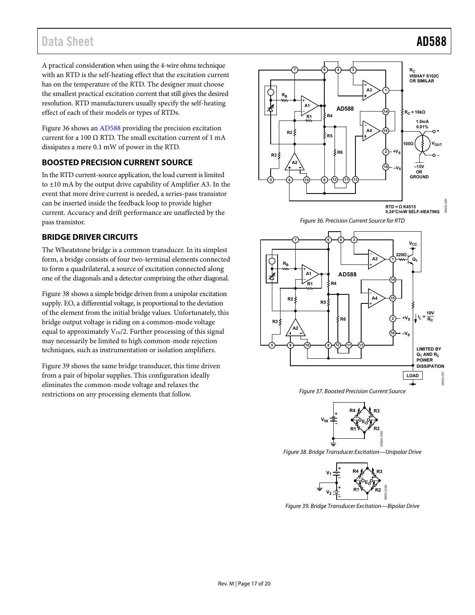## Data Sheet **AD588**

A practical consideration when using the 4-wire ohms technique with an RTD is the self-heating effect that the excitation current has on the temperature of the RTD. The designer must choose the smallest practical excitation current that still gives the desired resolution. RTD manufacturers usually specify the self-heating effect of each of their models or types of RTDs.

[Figure 36 s](#page-16-2)hows a[n AD588 p](http://www.analog.com/AD588?doc=AD588.pdf)roviding the precision excitation current for a 100  $\Omega$  RTD. The small excitation current of 1 mA dissipates a mere 0.1 mW of power in the RTD.

### <span id="page-16-0"></span>**BOOSTED PRECISION CURRENT SOURCE**

In the RTD current-source application, the load current is limited to ±10 mA by the output drive capability of Amplifier A3. In the event that more drive current is needed, a series-pass transistor can be inserted inside the feedback loop to provide higher current. Accuracy and drift performance are unaffected by the pass transistor.

#### <span id="page-16-1"></span>**BRIDGE DRIVER CIRCUITS**

The Wheatstone bridge is a common transducer. In its simplest form, a bridge consists of four two-terminal elements connected to form a quadrilateral, a source of excitation connected along one of the diagonals and a detector comprising the other diagonal.

[Figure 38 s](#page-16-3)hows a simple bridge driven from a unipolar excitation supply. EO, a differential voltage, is proportional to the deviation of the element from the initial bridge values. Unfortunately, this bridge output voltage is riding on a common-mode voltage equal to approximately  $V_{IN}/2$ . Further processing of this signal may necessarily be limited to high common-mode rejection techniques, such as instrumentation or isolation amplifiers.

[Figure 39 s](#page-16-4)hows the same bridge transducer, this time driven from a pair of bipolar supplies. This configuration ideally eliminates the common-mode voltage and relaxes the restrictions on any processing elements that follow.



Figure 36. Precision Current Source for RTD

<span id="page-16-2"></span>

Figure 37. Boosted Precision Current Source



<span id="page-16-3"></span>Figure 38. Bridge Transducer Excitation—Unipolar Drive



<span id="page-16-4"></span>Figure 39. Bridge Transducer Excitation—Bipolar Drive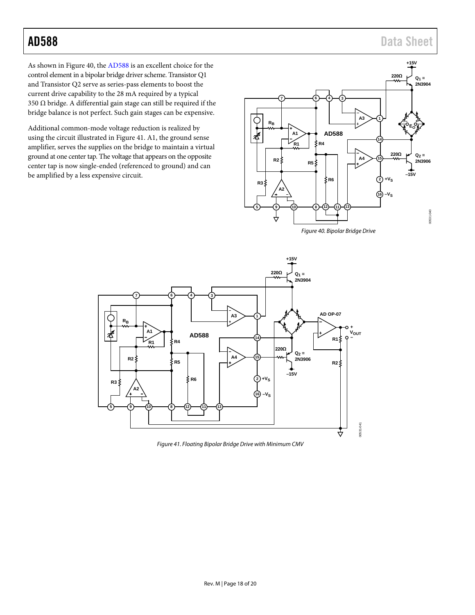## AD588 Data Sheet

As shown in [Figure 40,](#page-17-0) the [AD588](http://www.analog.com/AD588?doc=AD588.pdf) is an excellent choice for the control element in a bipolar bridge driver scheme. Transistor Q1 and Transistor Q2 serve as series-pass elements to boost the current drive capability to the 28 mA required by a typical 350 Ω bridge. A differential gain stage can still be required if the bridge balance is not perfect. Such gain stages can be expensive.

Additional common-mode voltage reduction is realized by using the circuit illustrated in [Figure 41.](#page-17-1) A1, the ground sense amplifier, serves the supplies on the bridge to maintain a virtual ground at one center tap. The voltage that appears on the opposite center tap is now single-ended (referenced to ground) and can be amplified by a less expensive circuit.



<span id="page-17-0"></span>

<span id="page-17-1"></span>*Figure 41. Floating Bipolar Bridge Drive with Minimum CMV*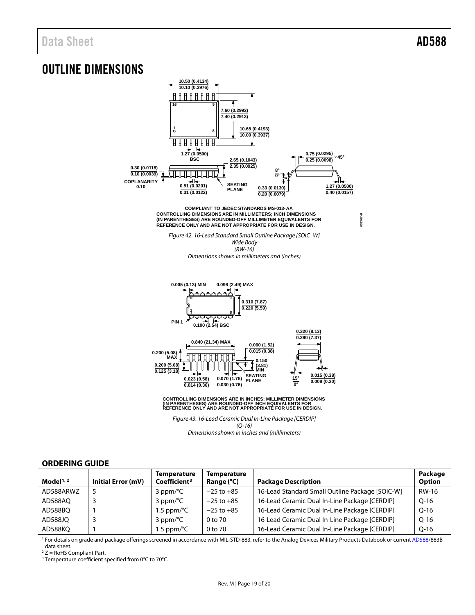**032707-B**

## <span id="page-18-0"></span>OUTLINE DIMENSIONS



*Dimensions shown in inches and (millimeters)*

#### <span id="page-18-1"></span>**ORDERING GUIDE**

| Model $1/2$ | Initial Error (mV) | <b>Temperature</b><br>Coefficient <sup>3</sup> | <b>Temperature</b><br>Range (°C) | <b>Package Description</b>                      | Package<br><b>Option</b> |
|-------------|--------------------|------------------------------------------------|----------------------------------|-------------------------------------------------|--------------------------|
| AD588ARWZ   |                    | $3$ ppm/ $\degree$ C                           | $-25$ to $+85$                   | 16-Lead Standard Small Outline Package [SOIC-W] | RW-16                    |
| AD588AO     |                    | $3$ ppm/ $\degree$ C                           | $-25$ to $+85$                   | 16-Lead Ceramic Dual In-Line Package [CERDIP]   | $O-16$                   |
| AD588BQ     |                    | 1.5 ppm/ $\degree$ C                           | $-25$ to $+85$                   | 16-Lead Ceramic Dual In-Line Package [CERDIP]   | $O-16$                   |
| AD588JO     |                    | $3$ ppm/ $\degree$ C                           | 0 to 70                          | 16-Lead Ceramic Dual In-Line Package [CERDIP]   | $O-16$                   |
| AD588KO     |                    | 1.5 ppm/ $\degree$ C                           | 0 to 70                          | 16-Lead Ceramic Dual In-Line Package [CERDIP]   | $Q-16$                   |

<sup>1</sup> For details on grade and package offerings screened in accordance with MIL-STD-883, refer to the Analog Devices Military Products Databook or curren[t AD588/](http://www.analog.com/AD588?doc=AD588.pdf)883B data sheet.

 $2$  Z = RoHS Compliant Part.

<sup>3</sup> Temperature coefficient specified from 0°C to 70°C.